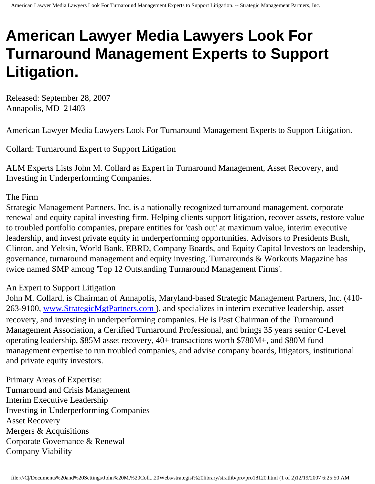## **American Lawyer Media Lawyers Look For Turnaround Management Experts to Support Litigation.**

Released: September 28, 2007 Annapolis, MD 21403

American Lawyer Media Lawyers Look For Turnaround Management Experts to Support Litigation.

Collard: Turnaround Expert to Support Litigation

ALM Experts Lists John M. Collard as Expert in Turnaround Management, Asset Recovery, and Investing in Underperforming Companies.

## The Firm

Strategic Management Partners, Inc. is a nationally recognized turnaround management, corporate renewal and equity capital investing firm. Helping clients support litigation, recover assets, restore value to troubled portfolio companies, prepare entities for 'cash out' at maximum value, interim executive leadership, and invest private equity in underperforming opportunities. Advisors to Presidents Bush, Clinton, and Yeltsin, World Bank, EBRD, Company Boards, and Equity Capital Investors on leadership, governance, turnaround management and equity investing. Turnarounds & Workouts Magazine has twice named SMP among 'Top 12 Outstanding Turnaround Management Firms'.

## An Expert to Support Litigation

John M. Collard, is Chairman of Annapolis, Maryland-based Strategic Management Partners, Inc. (410 263-9100, [www.StrategicMgtPartners.com](http://www.strategicmgtpartners.com/)), and specializes in interim executive leadership, asset recovery, and investing in underperforming companies. He is Past Chairman of the Turnaround Management Association, a Certified Turnaround Professional, and brings 35 years senior C-Level operating leadership, \$85M asset recovery, 40+ transactions worth \$780M+, and \$80M fund management expertise to run troubled companies, and advise company boards, litigators, institutional and private equity investors.

Primary Areas of Expertise: Turnaround and Crisis Management Interim Executive Leadership Investing in Underperforming Companies Asset Recovery Mergers & Acquisitions Corporate Governance & Renewal Company Viability